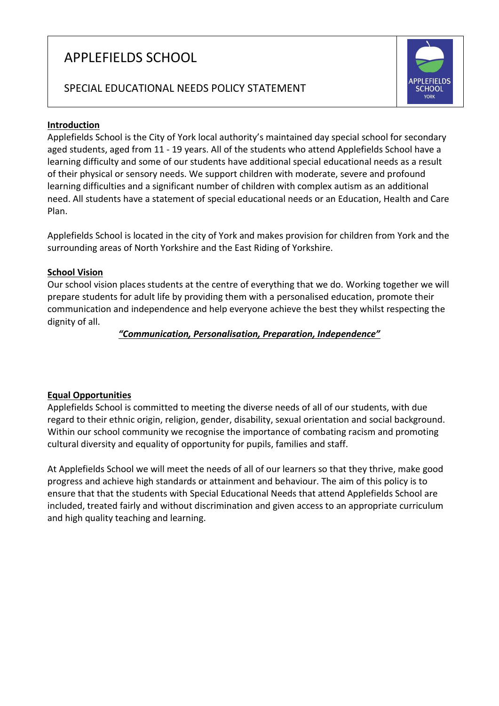# APPLEFIELDS SCHOOL

## SPECIAL EDUCATIONAL NEEDS POLICY STATEMENT

#### **Introduction**

Applefields School is the City of York local authority's maintained day special school for secondary aged students, aged from 11 - 19 years. All of the students who attend Applefields School have a learning difficulty and some of our students have additional special educational needs as a result of their physical or sensory needs. We support children with moderate, severe and profound learning difficulties and a significant number of children with complex autism as an additional need. All students have a statement of special educational needs or an Education, Health and Care Plan.

Applefields School is located in the city of York and makes provision for children from York and the surrounding areas of North Yorkshire and the East Riding of Yorkshire.

#### **School Vision**

Our school vision places students at the centre of everything that we do. Working together we will prepare students for adult life by providing them with a personalised education, promote their communication and independence and help everyone achieve the best they whilst respecting the dignity of all.

*"Communication, Personalisation, Preparation, Independence"*

## **Equal Opportunities**

Applefields School is committed to meeting the diverse needs of all of our students, with due regard to their ethnic origin, religion, gender, disability, sexual orientation and social background. Within our school community we recognise the importance of combating racism and promoting cultural diversity and equality of opportunity for pupils, families and staff.

At Applefields School we will meet the needs of all of our learners so that they thrive, make good progress and achieve high standards or attainment and behaviour. The aim of this policy is to ensure that that the students with Special Educational Needs that attend Applefields School are included, treated fairly and without discrimination and given access to an appropriate curriculum and high quality teaching and learning.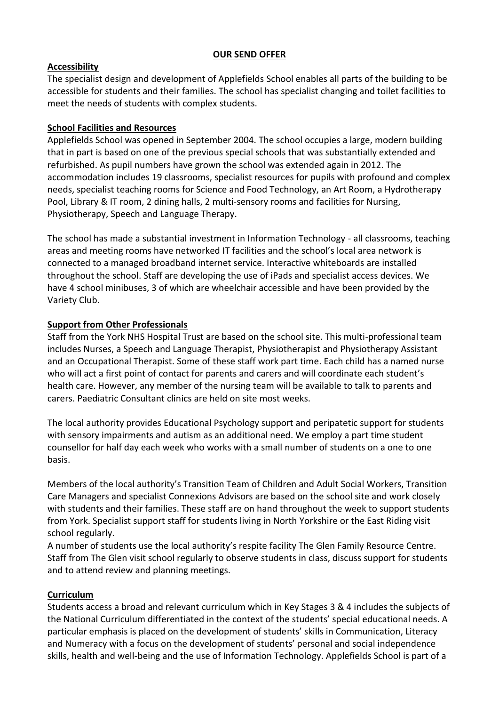#### **OUR SEND OFFER**

## **Accessibility**

The specialist design and development of Applefields School enables all parts of the building to be accessible for students and their families. The school has specialist changing and toilet facilities to meet the needs of students with complex students.

## **School Facilities and Resources**

Applefields School was opened in September 2004. The school occupies a large, modern building that in part is based on one of the previous special schools that was substantially extended and refurbished. As pupil numbers have grown the school was extended again in 2012. The accommodation includes 19 classrooms, specialist resources for pupils with profound and complex needs, specialist teaching rooms for Science and Food Technology, an Art Room, a Hydrotherapy Pool, Library & IT room, 2 dining halls, 2 multi-sensory rooms and facilities for Nursing, Physiotherapy, Speech and Language Therapy.

The school has made a substantial investment in Information Technology - all classrooms, teaching areas and meeting rooms have networked IT facilities and the school's local area network is connected to a managed broadband internet service. Interactive whiteboards are installed throughout the school. Staff are developing the use of iPads and specialist access devices. We have 4 school minibuses, 3 of which are wheelchair accessible and have been provided by the Variety Club.

## **Support from Other Professionals**

Staff from the York NHS Hospital Trust are based on the school site. This multi-professional team includes Nurses, a Speech and Language Therapist, Physiotherapist and Physiotherapy Assistant and an Occupational Therapist. Some of these staff work part time. Each child has a named nurse who will act a first point of contact for parents and carers and will coordinate each student's health care. However, any member of the nursing team will be available to talk to parents and carers. Paediatric Consultant clinics are held on site most weeks.

The local authority provides Educational Psychology support and peripatetic support for students with sensory impairments and autism as an additional need. We employ a part time student counsellor for half day each week who works with a small number of students on a one to one basis.

Members of the local authority's Transition Team of Children and Adult Social Workers, Transition Care Managers and specialist Connexions Advisors are based on the school site and work closely with students and their families. These staff are on hand throughout the week to support students from York. Specialist support staff for students living in North Yorkshire or the East Riding visit school regularly.

A number of students use the local authority's respite facility The Glen Family Resource Centre. Staff from The Glen visit school regularly to observe students in class, discuss support for students and to attend review and planning meetings.

## **Curriculum**

Students access a broad and relevant curriculum which in Key Stages 3 & 4 includes the subjects of the National Curriculum differentiated in the context of the students' special educational needs. A particular emphasis is placed on the development of students' skills in Communication, Literacy and Numeracy with a focus on the development of students' personal and social independence skills, health and well-being and the use of Information Technology. Applefields School is part of a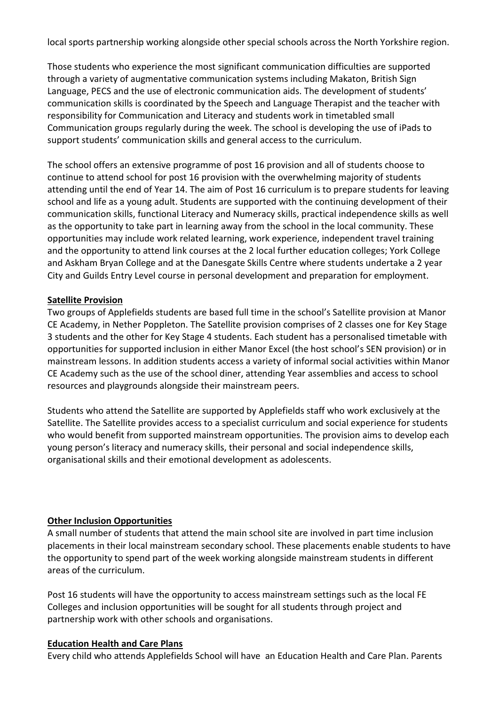local sports partnership working alongside other special schools across the North Yorkshire region.

Those students who experience the most significant communication difficulties are supported through a variety of augmentative communication systems including Makaton, British Sign Language, PECS and the use of electronic communication aids. The development of students' communication skills is coordinated by the Speech and Language Therapist and the teacher with responsibility for Communication and Literacy and students work in timetabled small Communication groups regularly during the week. The school is developing the use of iPads to support students' communication skills and general access to the curriculum.

The school offers an extensive programme of post 16 provision and all of students choose to continue to attend school for post 16 provision with the overwhelming majority of students attending until the end of Year 14. The aim of Post 16 curriculum is to prepare students for leaving school and life as a young adult. Students are supported with the continuing development of their communication skills, functional Literacy and Numeracy skills, practical independence skills as well as the opportunity to take part in learning away from the school in the local community. These opportunities may include work related learning, work experience, independent travel training and the opportunity to attend link courses at the 2 local further education colleges; York College and Askham Bryan College and at the Danesgate Skills Centre where students undertake a 2 year City and Guilds Entry Level course in personal development and preparation for employment.

## **Satellite Provision**

Two groups of Applefields students are based full time in the school's Satellite provision at Manor CE Academy, in Nether Poppleton. The Satellite provision comprises of 2 classes one for Key Stage 3 students and the other for Key Stage 4 students. Each student has a personalised timetable with opportunities for supported inclusion in either Manor Excel (the host school's SEN provision) or in mainstream lessons. In addition students access a variety of informal social activities within Manor CE Academy such as the use of the school diner, attending Year assemblies and access to school resources and playgrounds alongside their mainstream peers.

Students who attend the Satellite are supported by Applefields staff who work exclusively at the Satellite. The Satellite provides access to a specialist curriculum and social experience for students who would benefit from supported mainstream opportunities. The provision aims to develop each young person's literacy and numeracy skills, their personal and social independence skills, organisational skills and their emotional development as adolescents.

## **Other Inclusion Opportunities**

A small number of students that attend the main school site are involved in part time inclusion placements in their local mainstream secondary school. These placements enable students to have the opportunity to spend part of the week working alongside mainstream students in different areas of the curriculum.

Post 16 students will have the opportunity to access mainstream settings such as the local FE Colleges and inclusion opportunities will be sought for all students through project and partnership work with other schools and organisations.

#### **Education Health and Care Plans**

Every child who attends Applefields School will have an Education Health and Care Plan. Parents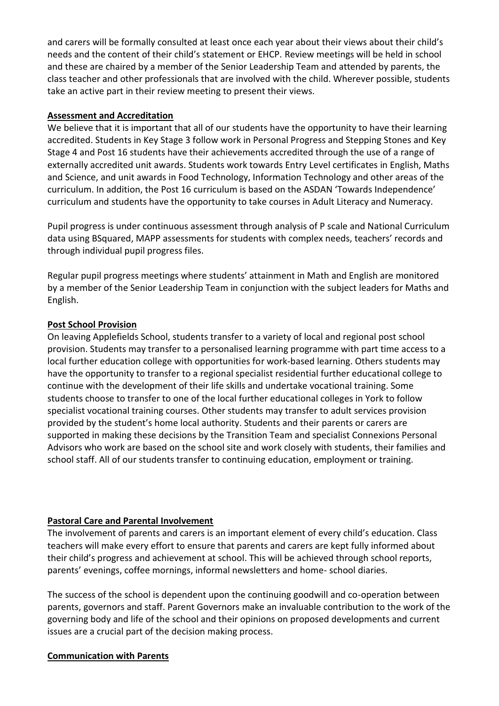and carers will be formally consulted at least once each year about their views about their child's needs and the content of their child's statement or EHCP. Review meetings will be held in school and these are chaired by a member of the Senior Leadership Team and attended by parents, the class teacher and other professionals that are involved with the child. Wherever possible, students take an active part in their review meeting to present their views.

#### **Assessment and Accreditation**

We believe that it is important that all of our students have the opportunity to have their learning accredited. Students in Key Stage 3 follow work in Personal Progress and Stepping Stones and Key Stage 4 and Post 16 students have their achievements accredited through the use of a range of externally accredited unit awards. Students work towards Entry Level certificates in English, Maths and Science, and unit awards in Food Technology, Information Technology and other areas of the curriculum. In addition, the Post 16 curriculum is based on the ASDAN 'Towards Independence' curriculum and students have the opportunity to take courses in Adult Literacy and Numeracy.

Pupil progress is under continuous assessment through analysis of P scale and National Curriculum data using BSquared, MAPP assessments for students with complex needs, teachers' records and through individual pupil progress files.

Regular pupil progress meetings where students' attainment in Math and English are monitored by a member of the Senior Leadership Team in conjunction with the subject leaders for Maths and English.

#### **Post School Provision**

On leaving Applefields School, students transfer to a variety of local and regional post school provision. Students may transfer to a personalised learning programme with part time access to a local further education college with opportunities for work-based learning. Others students may have the opportunity to transfer to a regional specialist residential further educational college to continue with the development of their life skills and undertake vocational training. Some students choose to transfer to one of the local further educational colleges in York to follow specialist vocational training courses. Other students may transfer to adult services provision provided by the student's home local authority. Students and their parents or carers are supported in making these decisions by the Transition Team and specialist Connexions Personal Advisors who work are based on the school site and work closely with students, their families and school staff. All of our students transfer to continuing education, employment or training.

## **Pastoral Care and Parental Involvement**

The involvement of parents and carers is an important element of every child's education. Class teachers will make every effort to ensure that parents and carers are kept fully informed about their child's progress and achievement at school. This will be achieved through school reports, parents' evenings, coffee mornings, informal newsletters and home- school diaries.

The success of the school is dependent upon the continuing goodwill and co-operation between parents, governors and staff. Parent Governors make an invaluable contribution to the work of the governing body and life of the school and their opinions on proposed developments and current issues are a crucial part of the decision making process.

#### **Communication with Parents**